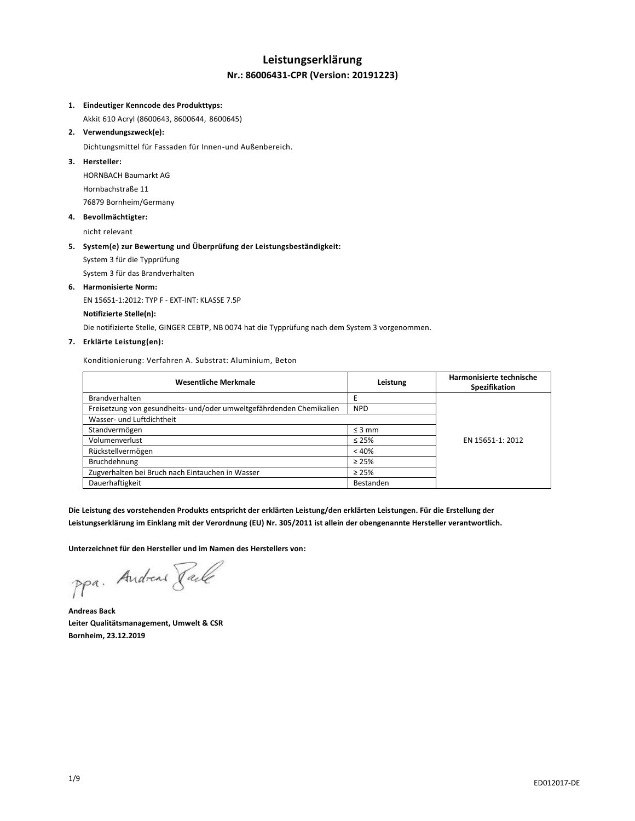## **Leistungserklärung Nr.: 86006431-CPR (Version: 20191223)**

#### **1. Eindeutiger Kenncode des Produkttyps:**

Akkit 610 Acryl (8600643, 8600644, 8600645)

### **2. Verwendungszweck(e):**

Dichtungsmittel für Fassaden für Innen-und Außenbereich.

### **3. Hersteller:**

HORNBACH Baumarkt AG Hornbachstraße 11 76879 Bornheim/Germany

#### **4. Bevollmächtigter:**

nicht relevant

#### **5. System(e) zur Bewertung und Überprüfung der Leistungsbeständigkeit:**

System 3 für die Typprüfung

System 3 für das Brandverhalten

#### **6. Harmonisierte Norm:**

EN 15651-1:2012: TYP F - EXT-INT: KLASSE 7.5P

#### **Notifizierte Stelle(n):**

Die notifizierte Stelle, GINGER CEBTP, NB 0074 hat die Typprüfung nach dem System 3 vorgenommen.

#### **7. Erklärte Leistung(en):**

Konditionierung: Verfahren A. Substrat: Aluminium, Beton

| <b>Wesentliche Merkmale</b>                                          | Leistung    | Harmonisierte technische<br>Spezifikation |
|----------------------------------------------------------------------|-------------|-------------------------------------------|
| <b>Brandverhalten</b>                                                |             |                                           |
| Freisetzung von gesundheits- und/oder umweltgefährdenden Chemikalien | <b>NPD</b>  |                                           |
| Wasser- und Luftdichtheit                                            |             |                                           |
| Standvermögen                                                        | $\leq$ 3 mm | EN 15651-1: 2012                          |
| Volumenverlust                                                       | $\leq 25\%$ |                                           |
| Rückstellvermögen                                                    | < 40%       |                                           |
| Bruchdehnung                                                         | $\geq 25\%$ |                                           |
| Zugverhalten bei Bruch nach Eintauchen in Wasser                     | $\geq 25\%$ |                                           |
| Dauerhaftigkeit                                                      | Bestanden   |                                           |

**Die Leistung des vorstehenden Produkts entspricht der erklärten Leistung/den erklärten Leistungen. Für die Erstellung der Leistungserklärung im Einklang mit der Verordnung (EU) Nr. 305/2011 ist allein der obengenannte Hersteller verantwortlich.**

**Unterzeichnet für den Hersteller und im Namen des Herstellers von:**

ppa. Andreas Pale

**Andreas Back Leiter Qualitätsmanagement, Umwelt & CSR Bornheim, 23.12.2019**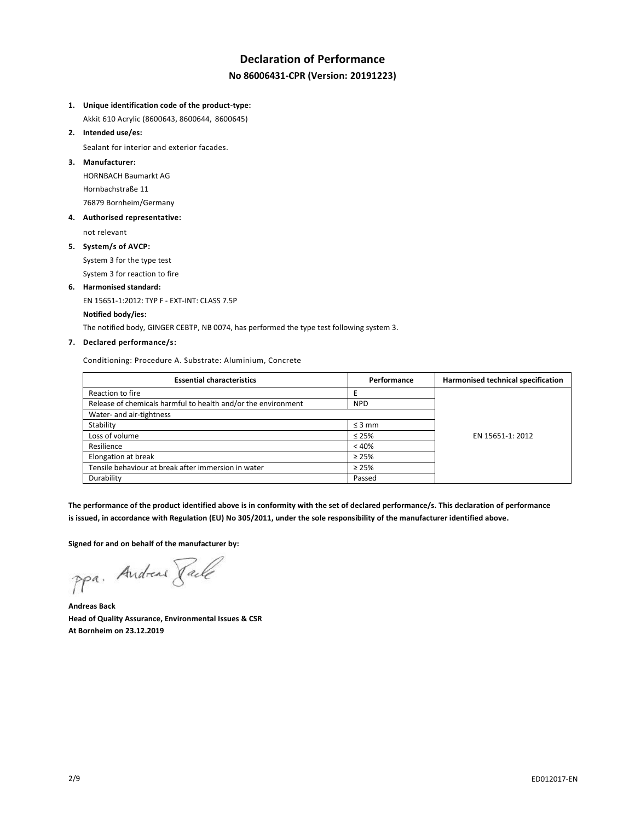## **Declaration of Performance No 86006431-CPR (Version: 20191223)**

**1. Unique identification code of the product-type:**

Akkit 610 Acrylic (8600643, 8600644, 8600645)

**2. Intended use/es:**

Sealant for interior and exterior facades.

**3. Manufacturer:**

HORNBACH Baumarkt AG Hornbachstraße 11 76879 Bornheim/Germany

**4. Authorised representative:**

not relevant

**5. System/s of AVCP:**

System 3 for the type test System 3 for reaction to fire

# **6. Harmonised standard:**

EN 15651-1:2012: TYP F - EXT-INT: CLASS 7.5P

## **Notified body/ies:**

The notified body, GINGER CEBTP, NB 0074, has performed the type test following system 3.

### **7. Declared performance/s:**

Conditioning: Procedure A. Substrate: Aluminium, Concrete

| <b>Essential characteristics</b>                              | Performance | Harmonised technical specification |
|---------------------------------------------------------------|-------------|------------------------------------|
| Reaction to fire                                              |             |                                    |
| Release of chemicals harmful to health and/or the environment | <b>NPD</b>  |                                    |
| Water- and air-tightness                                      |             |                                    |
| Stability                                                     | $\leq$ 3 mm |                                    |
| Loss of volume                                                | $\leq 25\%$ | EN 15651-1: 2012                   |
| Resilience                                                    | < 40%       |                                    |
| Elongation at break                                           | $\geq 25\%$ |                                    |
| Tensile behaviour at break after immersion in water           | $\geq 25\%$ |                                    |
| Durability                                                    | Passed      |                                    |

**The performance of the product identified above is in conformity with the set of declared performance/s. This declaration of performance is issued, in accordance with Regulation (EU) No 305/2011, under the sole responsibility of the manufacturer identified above.**

**Signed for and on behalf of the manufacturer by:**

ppa. Andreas Face

**Andreas Back Head of Quality Assurance, Environmental Issues & CSR At Bornheim on 23.12.2019**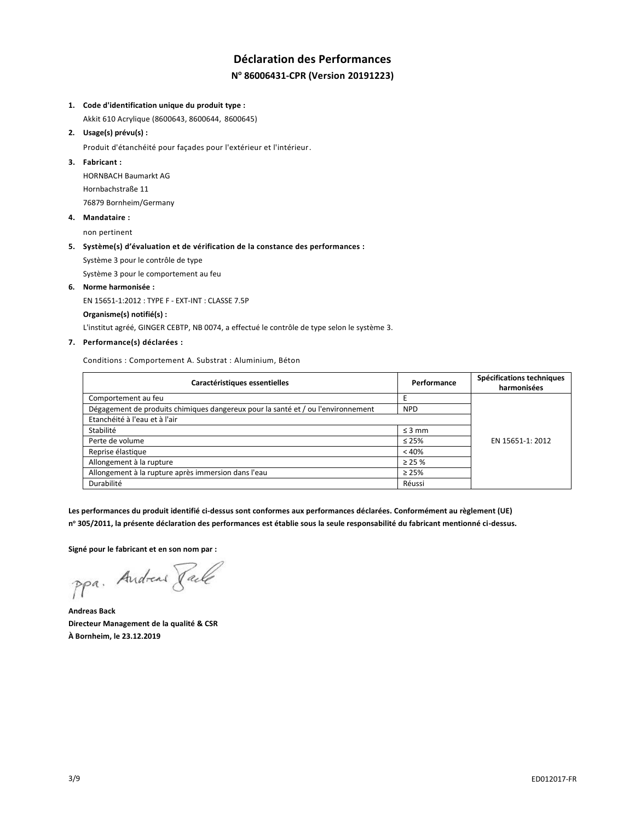## **Déclaration des Performances N <sup>o</sup> 86006431-CPR (Version 20191223)**

#### **1. Code d'identification unique du produit type :**

Akkit 610 Acrylique (8600643, 8600644, 8600645)

#### **2. Usage(s) prévu(s) :**

Produit d'étanchéité pour façades pour l'extérieur et l'intérieur.

#### **3. Fabricant :**

HORNBACH Baumarkt AG Hornbachstraße 11 76879 Bornheim/Germany

#### **4. Mandataire :**

non pertinent

#### **5. Système(s) d'évaluation et de vérification de la constance des performances :**

Système 3 pour le contrôle de type

Système 3 pour le comportement au feu

#### **6. Norme harmonisée :**

EN 15651-1:2012 : TYPE F - EXT-INT : CLASSE 7.5P

#### **Organisme(s) notifié(s) :**

L'institut agréé, GINGER CEBTP, NB 0074, a effectué le contrôle de type selon le système 3.

### **7. Performance(s) déclarées :**

Conditions : Comportement A. Substrat : Aluminium, Béton

| Caractéristiques essentielles                                                    | Performance | Spécifications techniques<br>harmonisées |
|----------------------------------------------------------------------------------|-------------|------------------------------------------|
| Comportement au feu                                                              |             |                                          |
| Dégagement de produits chimiques dangereux pour la santé et / ou l'environnement | <b>NPD</b>  |                                          |
| Etanchéité à l'eau et à l'air                                                    |             |                                          |
| Stabilité                                                                        | $\leq$ 3 mm |                                          |
| Perte de volume                                                                  | $\leq 25\%$ | EN 15651-1: 2012                         |
| Reprise élastique                                                                | < 40%       |                                          |
| Allongement à la rupture                                                         | $\geq$ 25 % |                                          |
| Allongement à la rupture après immersion dans l'eau                              | $\geq 25\%$ |                                          |
| Durabilité                                                                       | Réussi      |                                          |

**Les performances du produit identifié ci-dessus sont conformes aux performances déclarées. Conformément au règlement (UE) n <sup>o</sup> 305/2011, la présente déclaration des performances est établie sous la seule responsabilité du fabricant mentionné ci-dessus.**

**Signé pour le fabricant et en son nom par :**

ppa. Andreas Paule

**Andreas Back Directeur Management de la qualité & CSR À Bornheim, le 23.12.2019**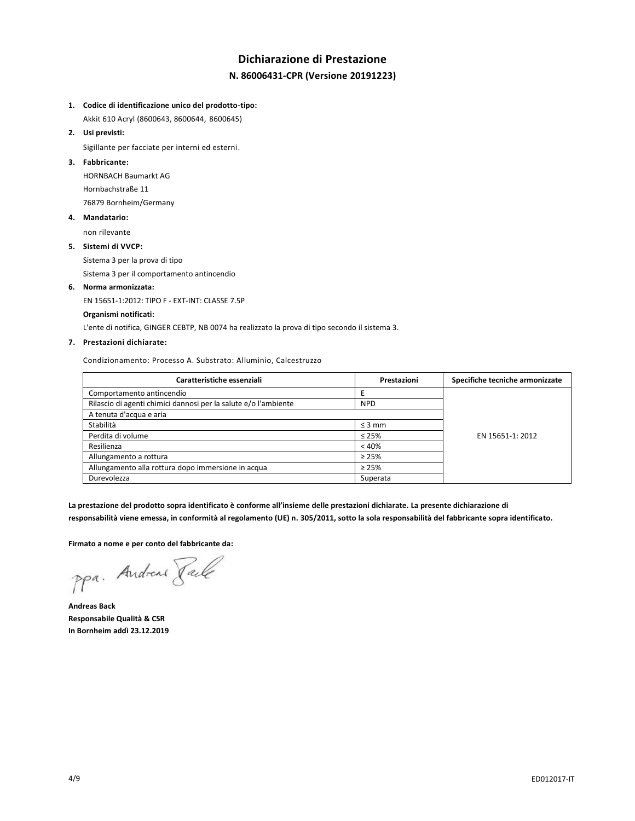## **Dichiarazione di Prestazione N. 86006431-CPR (Versione 20191223)**

#### **1. Codice di identificazione unico del prodotto-tipo:**

Akkit 610 Acryl (8600643, 8600644, 8600645)

**2. Usi previsti:**

Sigillante per facciate per interni ed esterni.

### **3. Fabbricante:**

HORNBACH Baumarkt AG Hornbachstraße 11 76879 Bornheim/Germany

#### **4. Mandatario:**

non rilevante

#### **5. Sistemi di VVCP:**

Sistema 3 per la prova di tipo

Sistema 3 per il comportamento antincendio

#### **6. Norma armonizzata:**

EN 15651-1:2012: TIPO F - EXT-INT: CLASSE 7.5P

#### **Organismi notificati:**

L'ente di notifica, GINGER CEBTP, NB 0074 ha realizzato la prova di tipo secondo il sistema 3.

#### **7. Prestazioni dichiarate:**

Condizionamento: Processo A. Substrato: Alluminio, Calcestruzzo

| Caratteristiche essenziali                                      | Prestazioni | Specifiche tecniche armonizzate |
|-----------------------------------------------------------------|-------------|---------------------------------|
| Comportamento antincendio                                       |             |                                 |
| Rilascio di agenti chimici dannosi per la salute e/o l'ambiente | <b>NPD</b>  |                                 |
| A tenuta d'acqua e aria                                         |             |                                 |
| Stabilità                                                       | $\leq$ 3 mm |                                 |
| Perdita di volume                                               | $\leq 25\%$ | EN 15651-1: 2012                |
| Resilienza                                                      | < 40%       |                                 |
| Allungamento a rottura                                          | $\geq 25\%$ |                                 |
| Allungamento alla rottura dopo immersione in acqua              | $\geq 25\%$ |                                 |
| Durevolezza                                                     | Superata    |                                 |

**La prestazione del prodotto sopra identificato è conforme all'insieme delle prestazioni dichiarate. La presente dichiarazione di responsabilità viene emessa, in conformità al regolamento (UE) n. 305/2011, sotto la sola responsabilità del fabbricante sopra identificato.**

**Firmato a nome e per conto del fabbricante da:**

ppa. Andreas Face

**Andreas Back Responsabile Qualità & CSR In Bornheim addì 23.12.2019**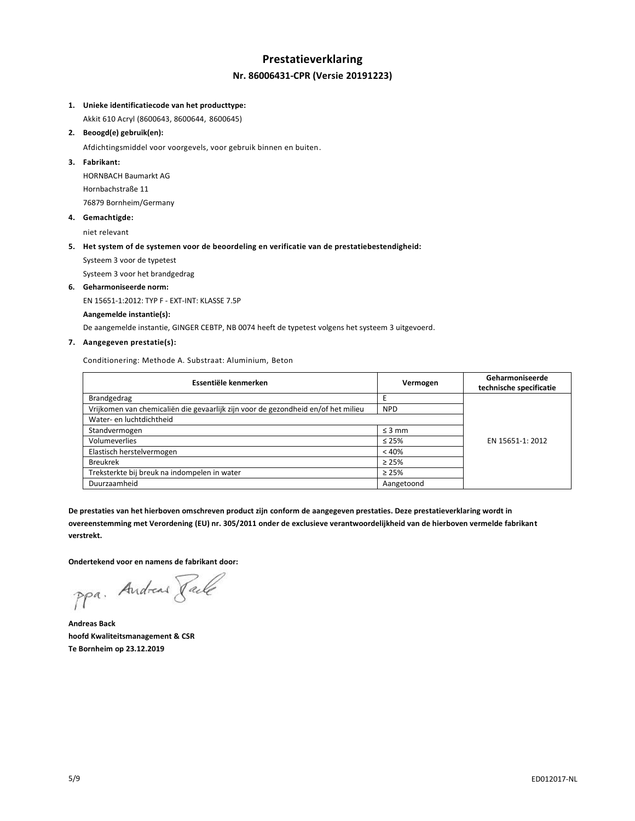## **Prestatieverklaring Nr. 86006431-CPR (Versie 20191223)**

#### **1. Unieke identificatiecode van het producttype:**

Akkit 610 Acryl (8600643, 8600644, 8600645)

**2. Beoogd(e) gebruik(en):**

Afdichtingsmiddel voor voorgevels, voor gebruik binnen en buiten.

### **3. Fabrikant:**

HORNBACH Baumarkt AG Hornbachstraße 11 76879 Bornheim/Germany

**4. Gemachtigde:**

niet relevant

#### **5. Het system of de systemen voor de beoordeling en verificatie van de prestatiebestendigheid:**

Systeem 3 voor de typetest

Systeem 3 voor het brandgedrag

#### **6. Geharmoniseerde norm:**

EN 15651-1:2012: TYP F - EXT-INT: KLASSE 7.5P

#### **Aangemelde instantie(s):**

De aangemelde instantie, GINGER CEBTP, NB 0074 heeft de typetest volgens het systeem 3 uitgevoerd.

#### **7. Aangegeven prestatie(s):**

Conditionering: Methode A. Substraat: Aluminium, Beton

| Essentiële kenmerken                                                              | Vermogen    | Geharmoniseerde<br>technische specificatie |
|-----------------------------------------------------------------------------------|-------------|--------------------------------------------|
| <b>Brandgedrag</b>                                                                |             |                                            |
| Vrijkomen van chemicaliën die gevaarlijk zijn voor de gezondheid en/of het milieu | <b>NPD</b>  |                                            |
| Water- en luchtdichtheid                                                          |             |                                            |
| Standvermogen                                                                     | $\leq$ 3 mm |                                            |
| Volumeverlies                                                                     | $\leq 25\%$ | EN 15651-1: 2012                           |
| Elastisch herstelvermogen                                                         | < 40%       |                                            |
| <b>Breukrek</b>                                                                   | $\geq 25\%$ |                                            |
| Treksterkte bij breuk na indompelen in water                                      | $\geq 25\%$ |                                            |
| Duurzaamheid                                                                      | Aangetoond  |                                            |

**De prestaties van het hierboven omschreven product zijn conform de aangegeven prestaties. Deze prestatieverklaring wordt in overeenstemming met Verordening (EU) nr. 305/2011 onder de exclusieve verantwoordelijkheid van de hierboven vermelde fabrikant verstrekt.**

**Ondertekend voor en namens de fabrikant door:**

ppa. Andreas Face

**Andreas Back hoofd Kwaliteitsmanagement & CSR Te Bornheim op 23.12.2019**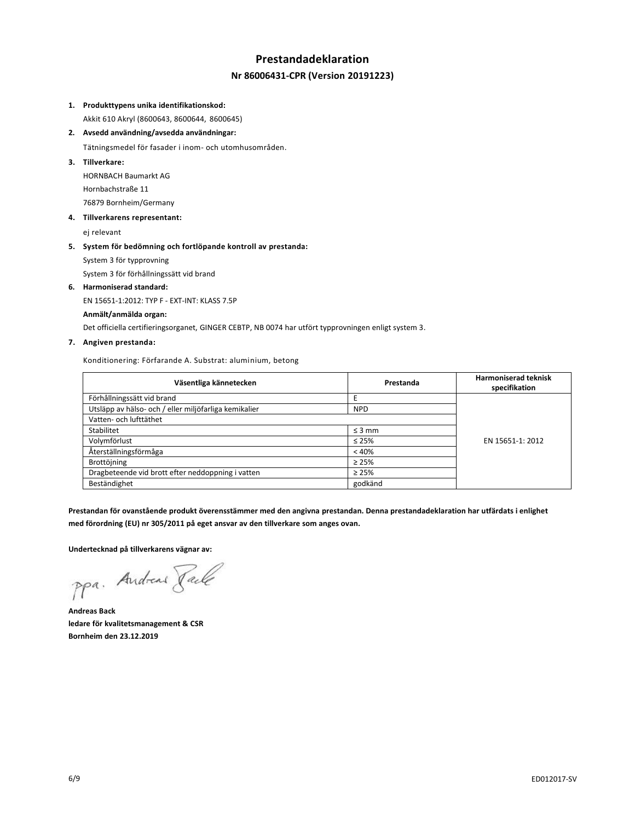## **Prestandadeklaration Nr 86006431-CPR (Version 20191223)**

#### **1. Produkttypens unika identifikationskod:**

Akkit 610 Akryl (8600643, 8600644, 8600645)

**2. Avsedd användning/avsedda användningar:**

Tätningsmedel för fasader i inom- och utomhusområden.

**3. Tillverkare:**

HORNBACH Baumarkt AG Hornbachstraße 11 76879 Bornheim/Germany

**4. Tillverkarens representant:**

ej relevant

#### **5. System för bedömning och fortlöpande kontroll av prestanda:**

System 3 för typprovning

System 3 för förhållningssätt vid brand

**6. Harmoniserad standard:**

EN 15651-1:2012: TYP F - EXT-INT: KLASS 7.5P

#### **Anmält/anmälda organ:**

Det officiella certifieringsorganet, GINGER CEBTP, NB 0074 har utfört typprovningen enligt system 3.

### **7. Angiven prestanda:**

Konditionering: Förfarande A. Substrat: aluminium, betong

| Väsentliga kännetecken                                | Prestanda   | <b>Harmoniserad teknisk</b><br>specifikation |
|-------------------------------------------------------|-------------|----------------------------------------------|
| Förhållningssätt vid brand                            |             |                                              |
| Utsläpp av hälso- och / eller miljöfarliga kemikalier | <b>NPD</b>  |                                              |
| Vatten- och lufttäthet                                |             |                                              |
| Stabilitet                                            | $\leq$ 3 mm |                                              |
| Volymförlust                                          | $\leq 25\%$ | EN 15651-1: 2012                             |
| Återställningsförmåga                                 | < 40%       |                                              |
| Brottöjning                                           | $\geq 25\%$ |                                              |
| Dragbeteende vid brott efter neddoppning i vatten     | $\geq 25\%$ |                                              |
| Beständighet                                          | godkänd     |                                              |

**Prestandan för ovanstående produkt överensstämmer med den angivna prestandan. Denna prestandadeklaration har utfärdats i enlighet med förordning (EU) nr 305/2011 på eget ansvar av den tillverkare som anges ovan.**

**Undertecknad på tillverkarens vägnar av:**

ppa. Andreas Paule

**Andreas Back ledare för kvalitetsmanagement & CSR Bornheim den 23.12.2019**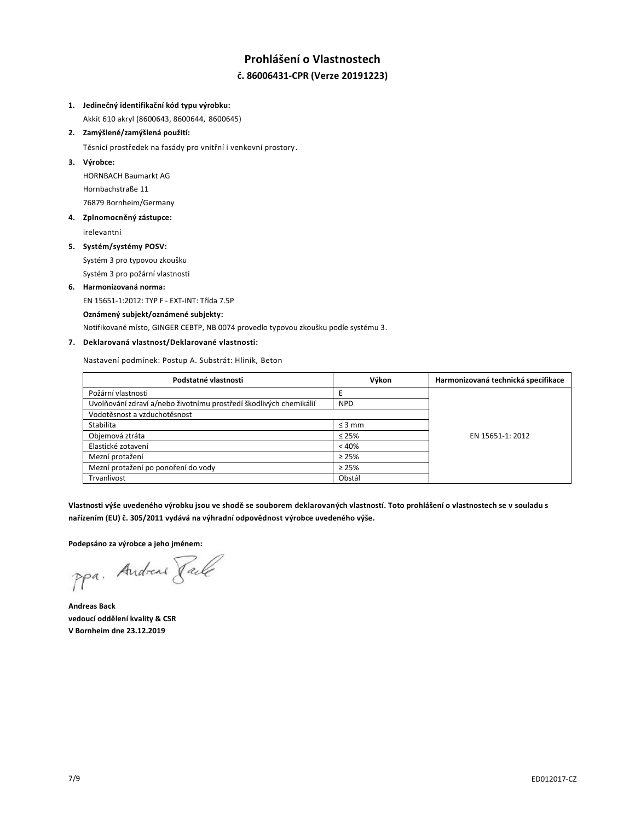## **Prohlášení o Vlastnostech č. 86006431-CPR (Verze 20191223)**

#### **1. Jedinečný identifikační kód typu výrobku:**

Akkit 610 akryl (8600643, 8600644, 8600645)

### **2. Zamýšlené/zamýšlená použití:**

Těsnicí prostředek na fasády pro vnitřní i venkovní prostory.

**3. Výrobce:**

HORNBACH Baumarkt AG Hornbachstraße 11 76879 Bornheim/Germany

### **4. Zplnomocněný zástupce:**

irelevantní

#### **5. Systém/systémy POSV:**

Systém 3 pro typovou zkoušku Systém 3 pro požární vlastnosti

## **6. Harmonizovaná norma:**

EN 15651-1:2012: TYP F - EXT-INT: Třída 7.5P

#### **Oznámený subjekt/oznámené subjekty:**

Notifikované místo, GINGER CEBTP, NB 0074 provedlo typovou zkoušku podle systému 3.

### **7. Deklarovaná vlastnost/Deklarované vlastnosti:**

Nastavení podmínek: Postup A. Substrát: Hliník, Beton

| Podstatné vlastnosti                                               | Výkon       | Harmonizovaná technická specifikace |
|--------------------------------------------------------------------|-------------|-------------------------------------|
| Požární vlastnosti                                                 |             |                                     |
| Uvolňování zdraví a/nebo životnímu prostředí škodlivých chemikálií | <b>NPD</b>  |                                     |
| Vodotěsnost a vzduchotěsnost                                       |             |                                     |
| Stabilita                                                          | $\leq$ 3 mm |                                     |
| Objemová ztráta                                                    | $\leq 25\%$ | EN 15651-1: 2012                    |
| Elastické zotavení                                                 | < 40%       |                                     |
| Mezní protažení                                                    | $\geq 25\%$ |                                     |
| Mezní protažení po ponoření do vody                                | $\geq 25\%$ |                                     |
| Trvanlivost                                                        | Obstál      |                                     |

**Vlastnosti výše uvedeného výrobku jsou ve shodě se souborem deklarovaných vlastností. Toto prohlášení o vlastnostech se v souladu s nařízením (EU) č. 305/2011 vydává na výhradní odpovědnost výrobce uvedeného výše.**

**Podepsáno za výrobce a jeho jménem:**

ppa. Andreas Face

**Andreas Back vedoucí oddělení kvality & CSR V Bornheim dne 23.12.2019**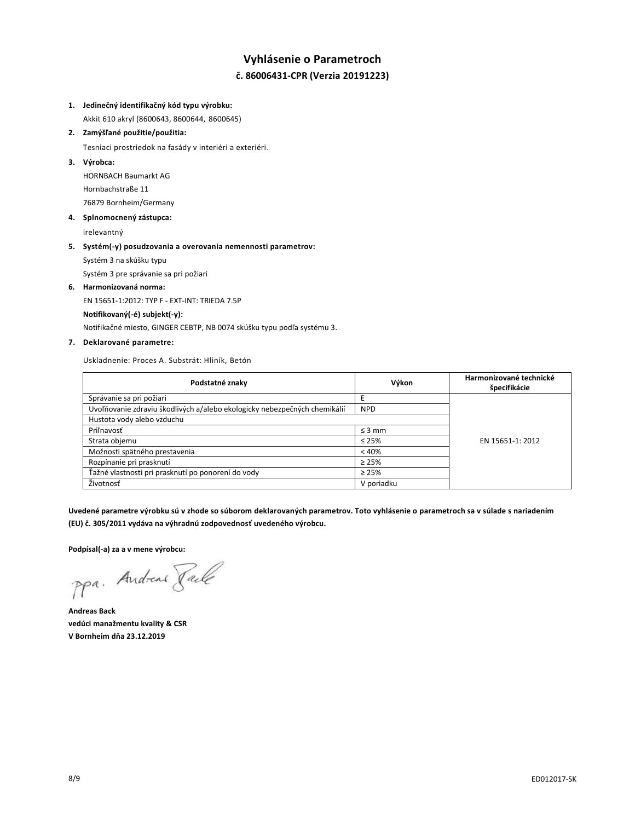## **Vyhlásenie o Parametroch č. 86006431-CPR (Verzia 20191223)**

## **1. Jedinečný identifikačný kód typu výrobku:**

Akkit 610 akryl (8600643, 8600644, 8600645)

**2. Zamýšľané použitie/použitia:**

Tesniaci prostriedok na fasády v interiéri a exteriéri.

**3. Výrobca:**

HORNBACH Baumarkt AG Hornbachstraße 11 76879 Bornheim/Germany

#### **4. Splnomocnený zástupca:**

irelevantný

## **5. Systém(-y) posudzovania a overovania nemennosti parametrov:** Systém 3 na skúšku typu

Systém 3 pre správanie sa pri požiari

#### **6. Harmonizovaná norma:**

EN 15651-1:2012: TYP F - EXT-INT: TRIEDA 7.5P

#### **Notifikovaný(-é) subjekt(-y):**

Notifikačné miesto, GINGER CEBTP, NB 0074 skúšku typu podľa systému 3.

### **7. Deklarované parametre:**

Uskladnenie: Proces A. Substrát: Hliník, Betón

| Podstatné znaky                                                           | Výkon       | Harmonizované technické<br>špecifikácie |
|---------------------------------------------------------------------------|-------------|-----------------------------------------|
| Správanie sa pri požiari                                                  |             |                                         |
| Uvoľňovanie zdraviu škodlivých a/alebo ekologicky nebezpečných chemikálií | <b>NPD</b>  |                                         |
| Hustota vody alebo vzduchu                                                |             |                                         |
| Priľnavosť                                                                | $\leq$ 3 mm |                                         |
| Strata objemu                                                             | $\leq 25\%$ | EN 15651-1: 2012                        |
| Možnosti spätného prestavenia                                             | < 40%       |                                         |
| Rozpínanie pri prasknutí                                                  | $\geq 25\%$ |                                         |
| Ťažné vlastnosti pri prasknutí po ponorení do vody                        | $\geq 25\%$ |                                         |
| Životnosť                                                                 | V poriadku  |                                         |

**Uvedené parametre výrobku sú v zhode so súborom deklarovaných parametrov. Toto vyhlásenie o parametroch sa v súlade s nariadením (EU) č. 305/2011 vydáva na výhradnú zodpovednosť uvedeného výrobcu.**

**Podpísal(-a) za a v mene výrobcu:**

ppa. Andreas Face

**Andreas Back vedúci manažmentu kvality & CSR V Bornheim dňa 23.12.2019**